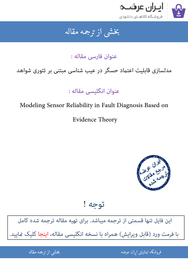

## جمه مقاله شی از تر بخشی از :

عنوان فارسی مقاله :

# مدلسازی قابلیت اعتماد حسگر در عیب شناسی مبتنی بر تئوری شواهد

عنوان انگلیسی مقاله :

# Modeling Sensor Reliability in Fault Diagnosis Based on

Evidence Theory



توجه !

[این فایل تنها قسمتی از ترجمه میباشد. برای تهیه مقاله ترجمه شده کامل](http://iranarze.ir/modeling+sensor+reliability+fault+diagnosis+evidence+theory)  با فرمت ورد (قابل ویرایش) همراه با نسخه انگلیسی مقاله، اینجا کلیک مَایید.

> ֦֘ ه اينترنتي ايران عرضه مستخدم استخدام المستخدم المستخدم المستخدم المستخدم المستخدم المستخدم المستخدم المستخدم ا ֚֚֚֚֚֚֚֚֚֚֚֚֚֚֚֚֚֚֚֚֚֬֡֡֡֡֡֡֡֡֡֡֬֝֡֡֡֡֬֓֡֡֬

شی از ترجمه <mark>مقا</mark>له